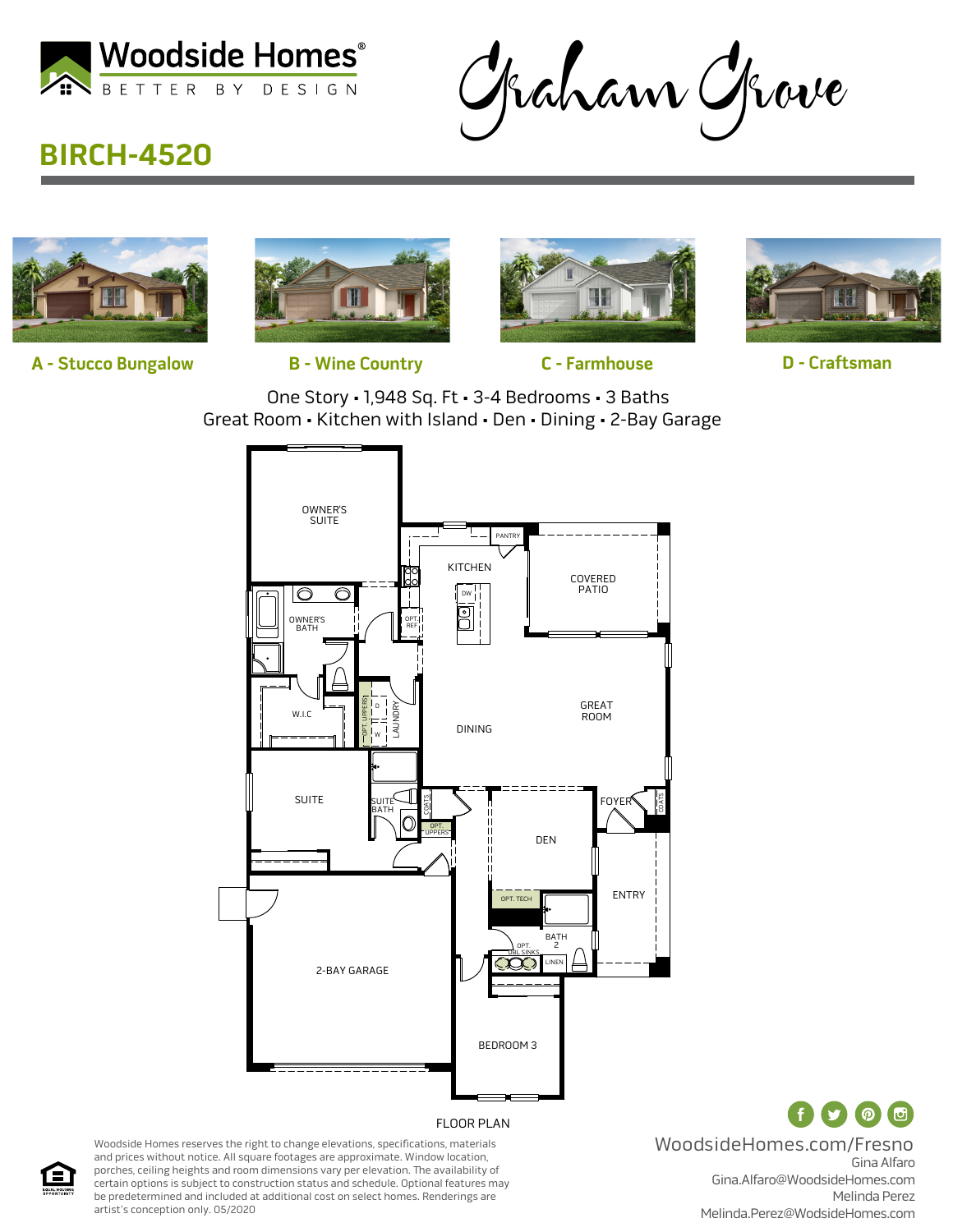

Graham Grove

## **BIRCH-4520**



**A - Stucco Bungalow B - Wine Country C - Farmhouse D - Craftsman**







One Story • 1,948 Sq. Ft • 3-4 Bedrooms • 3 Baths Great Room • Kitchen with Island • Den • Dining • 2-Bay Garage



Gina Alfaro Gina.Alfaro@WoodsideHomes.com Melinda Perez Melinda.Perez@WodsideHomes.com WoodsideHomes.com/Fresno

 $\mathbf{f}$ 

( @